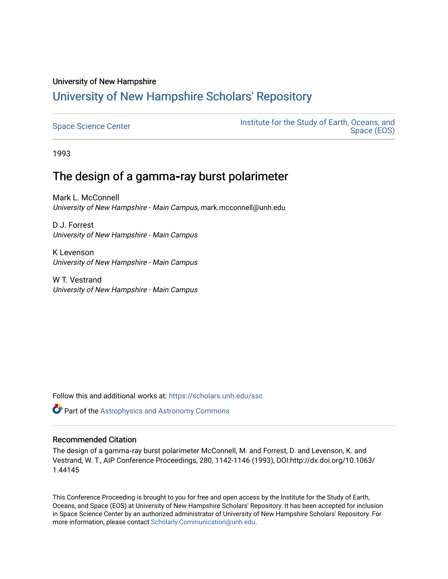# University of New Hampshire [University of New Hampshire Scholars' Repository](https://scholars.unh.edu/)

[Space Science Center](https://scholars.unh.edu/ssc) **Institute for the Study of Earth, Oceans, and** Institute for the Study of Earth, Oceans, and [Space \(EOS\)](https://scholars.unh.edu/eos) 

1993

# The design of a gamma**‐**ray burst polarimeter

Mark L. McConnell University of New Hampshire - Main Campus, mark.mcconnell@unh.edu

D J. Forrest University of New Hampshire - Main Campus

K Levenson University of New Hampshire - Main Campus

W T. Vestrand University of New Hampshire - Main Campus

Follow this and additional works at: [https://scholars.unh.edu/ssc](https://scholars.unh.edu/ssc?utm_source=scholars.unh.edu%2Fssc%2F181&utm_medium=PDF&utm_campaign=PDFCoverPages)

Part of the [Astrophysics and Astronomy Commons](http://network.bepress.com/hgg/discipline/123?utm_source=scholars.unh.edu%2Fssc%2F181&utm_medium=PDF&utm_campaign=PDFCoverPages) 

## Recommended Citation

The design of a gamma‐ray burst polarimeter McConnell, M. and Forrest, D. and Levenson, K. and Vestrand, W. T., AIP Conference Proceedings, 280, 1142-1146 (1993), DOI:http://dx.doi.org/10.1063/ 1.44145

This Conference Proceeding is brought to you for free and open access by the Institute for the Study of Earth, Oceans, and Space (EOS) at University of New Hampshire Scholars' Repository. It has been accepted for inclusion in Space Science Center by an authorized administrator of University of New Hampshire Scholars' Repository. For more information, please contact [Scholarly.Communication@unh.edu.](mailto:Scholarly.Communication@unh.edu)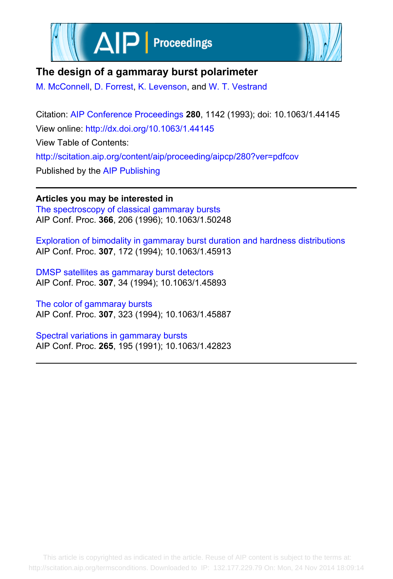



## **The design of a gammaray burst polarimeter**

[M. McConnell](http://scitation.aip.org/search?value1=M.+McConnell&option1=author), [D. Forrest](http://scitation.aip.org/search?value1=D.+Forrest&option1=author), [K. Levenson](http://scitation.aip.org/search?value1=K.+Levenson&option1=author), and [W. T. Vestrand](http://scitation.aip.org/search?value1=W.+T.+Vestrand&option1=author)

Citation: [AIP Conference Proceedings](http://scitation.aip.org/content/aip/proceeding/aipcp?ver=pdfcov) **280**, 1142 (1993); doi: 10.1063/1.44145 View online: <http://dx.doi.org/10.1063/1.44145> View Table of Contents: <http://scitation.aip.org/content/aip/proceeding/aipcp/280?ver=pdfcov> Published by the [AIP Publishing](http://scitation.aip.org/content/aip?ver=pdfcov)

**Articles you may be interested in** [The spectroscopy of classical gammaray bursts](http://scitation.aip.org/content/aip/proceeding/aipcp/10.1063/1.50248?ver=pdfcov) AIP Conf. Proc. **366**, 206 (1996); 10.1063/1.50248

[Exploration of bimodality in gammaray burst duration and hardness distributions](http://scitation.aip.org/content/aip/proceeding/aipcp/10.1063/1.45913?ver=pdfcov) AIP Conf. Proc. **307**, 172 (1994); 10.1063/1.45913

[DMSP satellites as gammaray burst detectors](http://scitation.aip.org/content/aip/proceeding/aipcp/10.1063/1.45893?ver=pdfcov) AIP Conf. Proc. **307**, 34 (1994); 10.1063/1.45893

[The color of gammaray bursts](http://scitation.aip.org/content/aip/proceeding/aipcp/10.1063/1.45887?ver=pdfcov) AIP Conf. Proc. **307**, 323 (1994); 10.1063/1.45887

[Spectral variations in gammaray bursts](http://scitation.aip.org/content/aip/proceeding/aipcp/10.1063/1.42823?ver=pdfcov) AIP Conf. Proc. **265**, 195 (1991); 10.1063/1.42823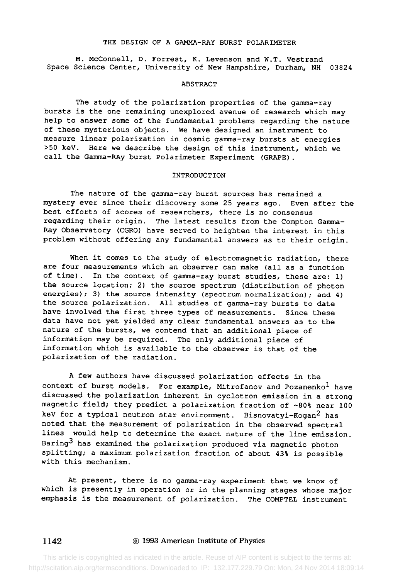#### THE DESIGN OF A GAMMA-RAY BURST POLARIMETER

M. McConnell, D. Forrest, K. Levenson and W.T. Vestrand Space Science Center, University of New Hampshire, Durham, NH 03824

#### ABSTRACT

The study of the polarization properties of the gamma-ray bursts is the one remaining unexplored avenue of research which may help to answer some of the fundamental problems regarding the nature of these mysterious objects. We have designed an instrument to measure linear polarization in cosmic gamma-ray bursts at energies >50 keV. Here we describe the design of this instrument, which we call the Gamma-RAy burst Polarimeter Experiment (GRAPE).

#### INTRODUCTION

The nature of the gamma-ray burst sources has remained a mystery ever since their discovery some 25 years ago. Even after the best efforts of scores of researchers, there is no consensus regarding their origin. The latest results from the Compton Gamma-Ray Observatory (CGRO) have served to heighten the interest in this problem without offering any fundamental answers as to their origin.

When it comes to the study of electromagnetic radiation, there are four measurements which an observer can make (all as a function of time). In the context of gamma-ray burst studies, these are: 1) the source location; 2) the source spectrum (distribution of photon energies); 3) the source intensity (spectrum normalization); and 4) the source polarization. All studies of gamma-ray bursts to date have involved the first three types of measurements. Since these data have not yet yielded any clear fundamental answers as to the nature of the bursts, we contend that an additional piece of information may be required. The only additional piece of information which is available to the observer is that of the polarization of the radiation.

A few authors have discussed polarization effects in the context of burst models. For example, Mitrofanov and Pozanenko<sup>1</sup> have discussed the polarization inherent in cyclotron emission in a strong magnetic field; they predict a polarization fraction of -80% near 100 keV for a typical neutron star environment. Bisnovatyi-Kogan<sup>2</sup> has noted that the measurement of polarization in the observed spectral lines would help to determine the exact nature of the line emission. Baring3 has examined the polarization produced via magnetic photon splitting; a maximum polarization fraction of about 43% is possible with this mechanism.

At present, there is no gamma-ray experiment that we know of which is presently in operation or in the planning stages whose major emphasis is the measurement of polarization. The COMPTEL instrument

#### 1142 © 1993 American Institute of Physics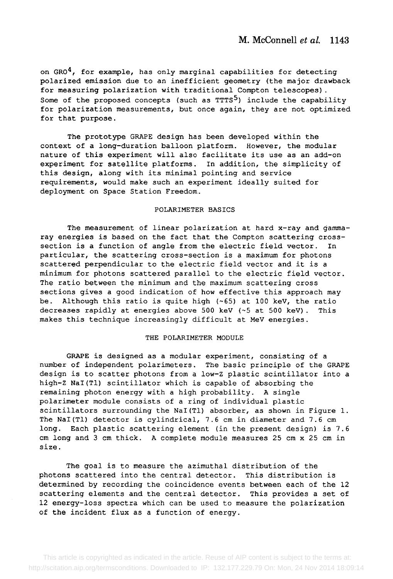on  $GRO<sup>4</sup>$ , for example, has only marginal capabilities for detecting polarized emission due to an inefficient geometry (the major drawback for measuring polarization with traditional Compton telescopes). Some of the proposed concepts (such as  $TTTS<sup>5</sup>$ ) include the capability for polarization measurements, but once again, they are not optimized for that purpose.

The prototype GRAPE design has been developed within the context of a long-duration balloon platform. However, the modular nature of this experiment will also facilitate its use as an add-on experiment for satellite platforms. In addition, the simplicity of this design, along with its minimal pointing and service requirements, would make such an experiment ideally suited for deployment on Space Station Freedom.

#### POLARIMETER BASICS

The measurement of linear polarization at hard x-ray and gammaray energies is based on the fact that the Compton scattering crosssection is a function of angle from the electric field vector. In particular, the scattering cross-section is a maximum for photons scattered perpendicular to the electric field vector and it is a minimum for photons scattered parallel to the electric field vector. The ratio between the minimum and the maximum scattering cross sections gives a good indication of how effective this approach may be. Although this ratio is quite high (-65) at 100 keV, the ratio decreases rapidly at energies above 500 keV (-5 at 500 keV). This makes this technique increasingly difficult at MeV energies.

#### THE POLARIMETER MODULE

GRAPE is designed as a modular experiment, consisting of a number of independent polarimeters. The basic principle of the GRAPE design is to scatter photons from a low-Z plastic scintillator into a high-Z NaI(Tl) scintillator which is capable of absorbing the remaining photon energy with a high probability. A single polarimeter module consists of a ring of individual plastic scintillators surrounding the NaI(Tl) absorber, as shown in Figure 1. The NaI(T1) detector is cylindrical, 7.6 cm in diameter and 7.6 cm long. Each plastic scattering element (in the present design) is 7.6 cm long and 3 cm thick. A complete module measures 25 cm x 25 cm in size.

The goal is to measure the azimuthal distribution of the photons scattered into the central detector. This distribution is determined by recording the coincidence events between each of the 12 scattering elements and the central detector. This provides a set of 12 energy-loss spectra which can be used to measure the polarization of the incident flux as a function of energy.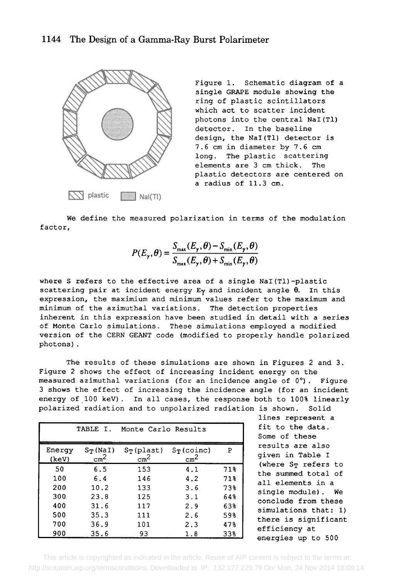### 1144 The Design of a Gamma-Ray Burst Polarimeter



Figure 1. Schematic diagram of a single GRAPE module showing the ring of plastic scintillators which act to scatter incident photons into the central NaI(T1) detector. In the baseline design, the NaI(Tl) detector is 7.6 cm in diameter by 7.6 cm long. The plastic scattering elements are 3 cm thick. The plastic detectors are centered on a radius of 11.3 cm.

We define the measured polarization in terms of the modulation factor,

$$
P(E_{\gamma}, \theta) = \frac{S_{\max}(E_{\gamma}, \theta) - S_{\min}(E_{\gamma}, \theta)}{S_{\max}(E_{\gamma}, \theta) + S_{\min}(E_{\gamma}, \theta)}
$$

where S refers to the effective area of a single NaI (T1) -plastic scattering pair at incident energy  $E_Y$  and incident angle  $\theta$ . In this expression, the maximium and minimum values refer to the maximum and minimum of the azimuthal variations. The detection properties inherent in this expression have been studied in detail with a series of Monte Carlo simulations. These simulations employed a modified version of the CERN GEANT code (modified to properly handle polarized photons) .

The results of these simulations are shown in Figures 2 and 3. Figure 2 shows the effect of increasing incident energy on the measured azimuthal variations (for an incidence angle of  $0^{\circ}$ ). Figure 3 shows the effect of increasing the incidence angle (for an incident energy of 100 key). In all cases, the response both to 100% linearly polarized radiation and to unpolarized radiation is shown. Solid

| TABLE I.<br>Monte Carlo Results |                                |                                    |                                  |        | fit to the data.<br>Some of these                                                                                                                                                                                                           |
|---------------------------------|--------------------------------|------------------------------------|----------------------------------|--------|---------------------------------------------------------------------------------------------------------------------------------------------------------------------------------------------------------------------------------------------|
| Energy<br>(keV)                 | $S_{T}$ (NaI)<br>$\text{cm}^2$ | $S_{T}$ (plast)<br>cm <sup>2</sup> | $S_{T}$ (coinc)<br>$\text{cm}^2$ | P      | results are also<br>given in Table I<br>(where ST refers to<br>the summed total of<br>all elements in a<br>single module). We<br>conclude from these<br>simulations that: 1)<br>there is significant<br>efficiency at<br>energies up to 500 |
| 50                              | 6.5                            | 153                                | 4.1                              | 71%    |                                                                                                                                                                                                                                             |
| 100                             | 6.4                            | 146                                | 4.2                              | 71%    |                                                                                                                                                                                                                                             |
| 200                             | 10.2                           | 133                                | 3.6                              | 73%    |                                                                                                                                                                                                                                             |
| 300                             | 23.8                           | 125                                | 3.1                              | 64%    |                                                                                                                                                                                                                                             |
| 400                             | 31.6                           | 117                                | 2.9                              | 63%    |                                                                                                                                                                                                                                             |
| 500                             | 35.3                           | 111                                | 2.6                              | 59%    |                                                                                                                                                                                                                                             |
| 700                             | 36.9                           | 101                                | 2.3                              | 47%    |                                                                                                                                                                                                                                             |
| 900                             | 35.6                           | 93                                 | 1.8                              | $33\%$ |                                                                                                                                                                                                                                             |

lines represent a fit to the data. Some of these results are also given in Table I (where ST refers to the summed total of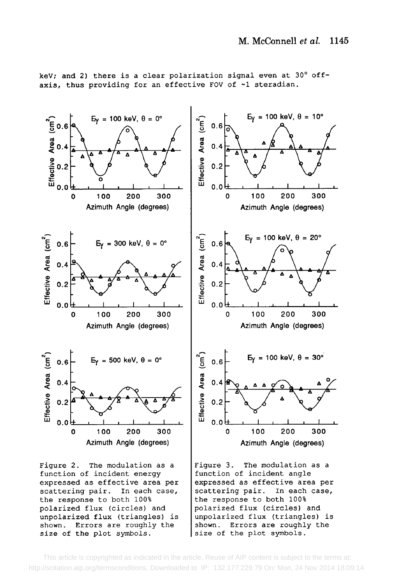

keV; and 2) there is a clear polarization signal even at  $30^{\circ}$  offaxis, thus providing for an effective FOV of ~1 steradian.

Figure 2. The modulation as a function of incident energy expressed as effective area per scattering pair. In each case, the response to both 100% polarized flux (circles) and unpolarized flux (triangles) is shown. Errors are roughly the size of the plot symbols.